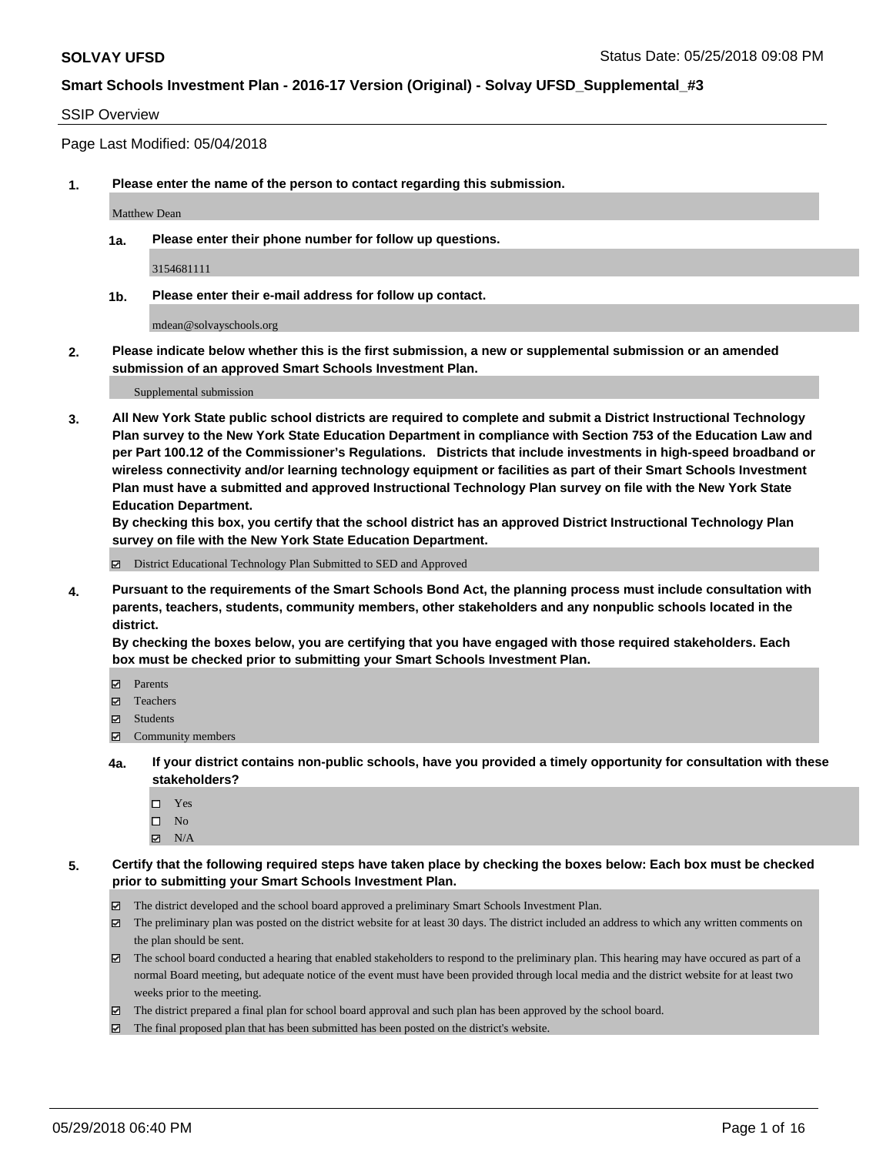### SSIP Overview

Page Last Modified: 05/04/2018

**1. Please enter the name of the person to contact regarding this submission.**

Matthew Dean

**1a. Please enter their phone number for follow up questions.**

3154681111

**1b. Please enter their e-mail address for follow up contact.**

mdean@solvayschools.org

**2. Please indicate below whether this is the first submission, a new or supplemental submission or an amended submission of an approved Smart Schools Investment Plan.**

Supplemental submission

**3. All New York State public school districts are required to complete and submit a District Instructional Technology Plan survey to the New York State Education Department in compliance with Section 753 of the Education Law and per Part 100.12 of the Commissioner's Regulations. Districts that include investments in high-speed broadband or wireless connectivity and/or learning technology equipment or facilities as part of their Smart Schools Investment Plan must have a submitted and approved Instructional Technology Plan survey on file with the New York State Education Department.** 

**By checking this box, you certify that the school district has an approved District Instructional Technology Plan survey on file with the New York State Education Department.**

District Educational Technology Plan Submitted to SED and Approved

**4. Pursuant to the requirements of the Smart Schools Bond Act, the planning process must include consultation with parents, teachers, students, community members, other stakeholders and any nonpublic schools located in the district.** 

**By checking the boxes below, you are certifying that you have engaged with those required stakeholders. Each box must be checked prior to submitting your Smart Schools Investment Plan.**

- Parents
- Teachers
- Students
- Community members
- **4a. If your district contains non-public schools, have you provided a timely opportunity for consultation with these stakeholders?**
	- Yes
	- $\square$  No
	- $N/A$
- **5. Certify that the following required steps have taken place by checking the boxes below: Each box must be checked prior to submitting your Smart Schools Investment Plan.**
	- The district developed and the school board approved a preliminary Smart Schools Investment Plan.
	- $\boxtimes$  The preliminary plan was posted on the district website for at least 30 days. The district included an address to which any written comments on the plan should be sent.
	- $\boxtimes$  The school board conducted a hearing that enabled stakeholders to respond to the preliminary plan. This hearing may have occured as part of a normal Board meeting, but adequate notice of the event must have been provided through local media and the district website for at least two weeks prior to the meeting.
	- The district prepared a final plan for school board approval and such plan has been approved by the school board.
	- $\boxtimes$  The final proposed plan that has been submitted has been posted on the district's website.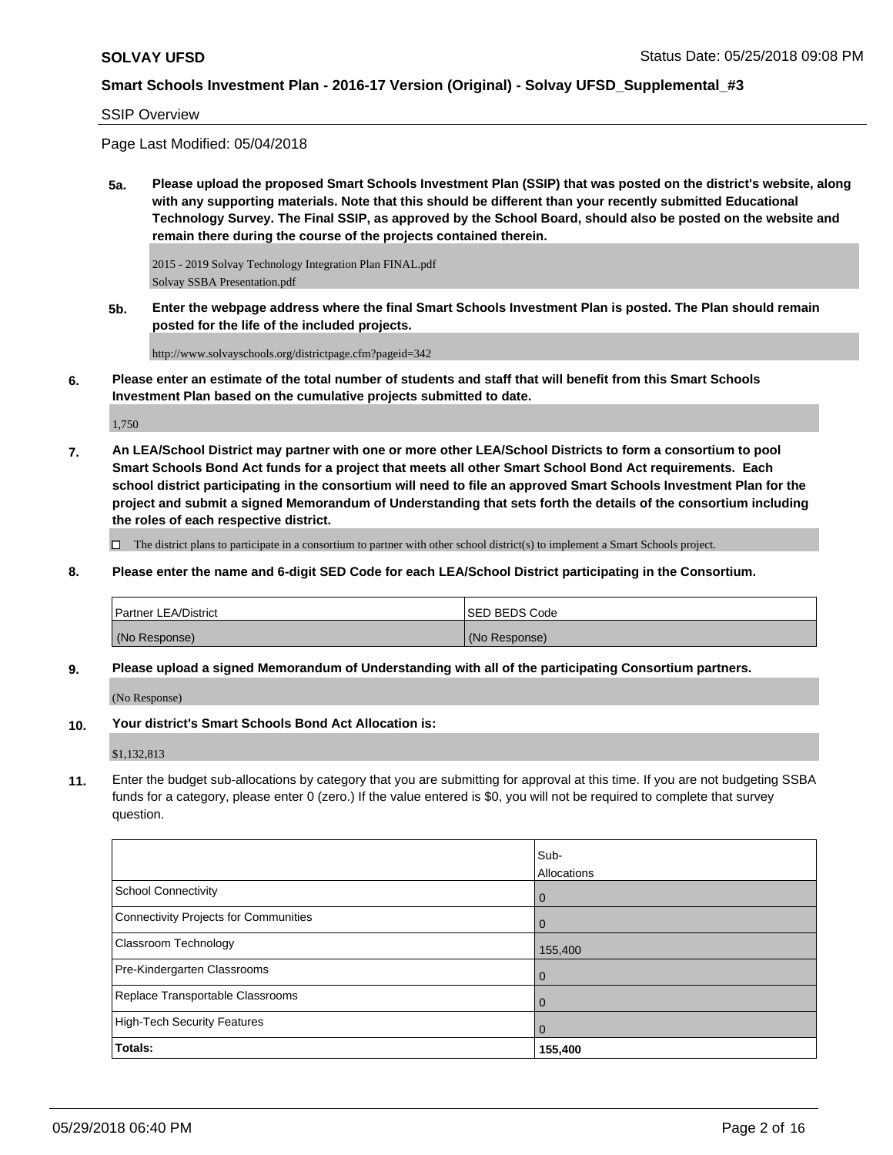SSIP Overview

Page Last Modified: 05/04/2018

**5a. Please upload the proposed Smart Schools Investment Plan (SSIP) that was posted on the district's website, along with any supporting materials. Note that this should be different than your recently submitted Educational Technology Survey. The Final SSIP, as approved by the School Board, should also be posted on the website and remain there during the course of the projects contained therein.**

2015 - 2019 Solvay Technology Integration Plan FINAL.pdf Solvay SSBA Presentation.pdf

**5b. Enter the webpage address where the final Smart Schools Investment Plan is posted. The Plan should remain posted for the life of the included projects.**

http://www.solvayschools.org/districtpage.cfm?pageid=342

**6. Please enter an estimate of the total number of students and staff that will benefit from this Smart Schools Investment Plan based on the cumulative projects submitted to date.**

1,750

**7. An LEA/School District may partner with one or more other LEA/School Districts to form a consortium to pool Smart Schools Bond Act funds for a project that meets all other Smart School Bond Act requirements. Each school district participating in the consortium will need to file an approved Smart Schools Investment Plan for the project and submit a signed Memorandum of Understanding that sets forth the details of the consortium including the roles of each respective district.**

 $\Box$  The district plans to participate in a consortium to partner with other school district(s) to implement a Smart Schools project.

**8. Please enter the name and 6-digit SED Code for each LEA/School District participating in the Consortium.**

| <b>Partner LEA/District</b> | <b>ISED BEDS Code</b> |
|-----------------------------|-----------------------|
| (No Response)               | (No Response)         |

**9. Please upload a signed Memorandum of Understanding with all of the participating Consortium partners.**

(No Response)

**10. Your district's Smart Schools Bond Act Allocation is:**

\$1,132,813

**11.** Enter the budget sub-allocations by category that you are submitting for approval at this time. If you are not budgeting SSBA funds for a category, please enter 0 (zero.) If the value entered is \$0, you will not be required to complete that survey question.

|                                       | Sub-           |
|---------------------------------------|----------------|
|                                       | Allocations    |
| <b>School Connectivity</b>            | $\overline{0}$ |
| Connectivity Projects for Communities | $\Omega$       |
| <b>Classroom Technology</b>           | 155,400        |
| Pre-Kindergarten Classrooms           | $\mathbf 0$    |
| Replace Transportable Classrooms      | $\mathbf 0$    |
| High-Tech Security Features           | $\Omega$       |
| Totals:                               | 155,400        |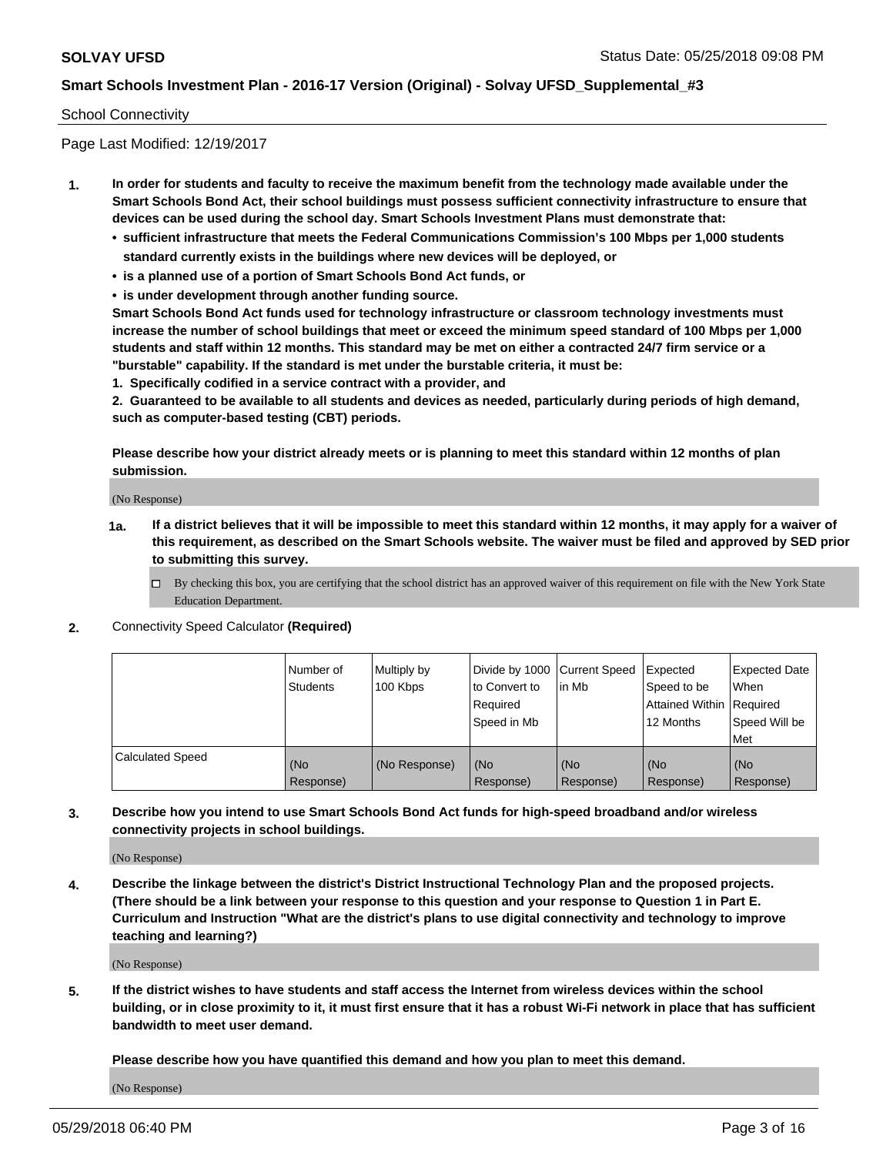#### School Connectivity

Page Last Modified: 12/19/2017

- **1. In order for students and faculty to receive the maximum benefit from the technology made available under the Smart Schools Bond Act, their school buildings must possess sufficient connectivity infrastructure to ensure that devices can be used during the school day. Smart Schools Investment Plans must demonstrate that:**
	- **• sufficient infrastructure that meets the Federal Communications Commission's 100 Mbps per 1,000 students standard currently exists in the buildings where new devices will be deployed, or**
	- **• is a planned use of a portion of Smart Schools Bond Act funds, or**
	- **• is under development through another funding source.**

**Smart Schools Bond Act funds used for technology infrastructure or classroom technology investments must increase the number of school buildings that meet or exceed the minimum speed standard of 100 Mbps per 1,000 students and staff within 12 months. This standard may be met on either a contracted 24/7 firm service or a "burstable" capability. If the standard is met under the burstable criteria, it must be:**

**1. Specifically codified in a service contract with a provider, and**

**2. Guaranteed to be available to all students and devices as needed, particularly during periods of high demand, such as computer-based testing (CBT) periods.**

**Please describe how your district already meets or is planning to meet this standard within 12 months of plan submission.**

(No Response)

- **1a. If a district believes that it will be impossible to meet this standard within 12 months, it may apply for a waiver of this requirement, as described on the Smart Schools website. The waiver must be filed and approved by SED prior to submitting this survey.**
	- By checking this box, you are certifying that the school district has an approved waiver of this requirement on file with the New York State Education Department.
- **2.** Connectivity Speed Calculator **(Required)**

|                         | l Number of<br>Students | Multiply by<br>100 Kbps | Divide by 1000 Current Speed<br>to Convert to<br>Required<br>Speed in Mb | lin Mb           | Expected<br>Speed to be<br>Attained Within   Required<br>12 Months | <b>Expected Date</b><br>When<br>Speed Will be<br>Met |
|-------------------------|-------------------------|-------------------------|--------------------------------------------------------------------------|------------------|--------------------------------------------------------------------|------------------------------------------------------|
| <b>Calculated Speed</b> | (No<br>Response)        | (No Response)           | (No<br>Response)                                                         | (No<br>Response) | (No<br>Response)                                                   | l (No<br>Response)                                   |

**3. Describe how you intend to use Smart Schools Bond Act funds for high-speed broadband and/or wireless connectivity projects in school buildings.**

(No Response)

**4. Describe the linkage between the district's District Instructional Technology Plan and the proposed projects. (There should be a link between your response to this question and your response to Question 1 in Part E. Curriculum and Instruction "What are the district's plans to use digital connectivity and technology to improve teaching and learning?)**

(No Response)

**5. If the district wishes to have students and staff access the Internet from wireless devices within the school building, or in close proximity to it, it must first ensure that it has a robust Wi-Fi network in place that has sufficient bandwidth to meet user demand.**

**Please describe how you have quantified this demand and how you plan to meet this demand.**

(No Response)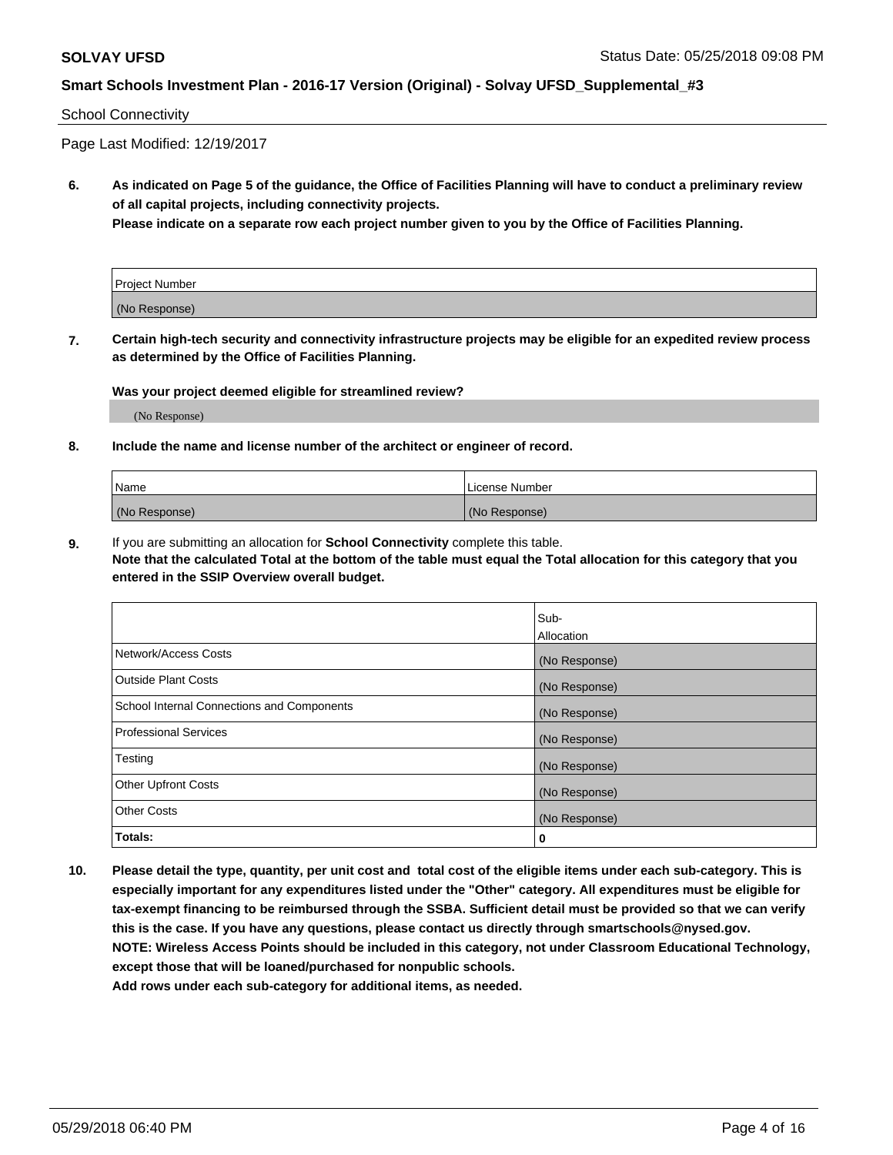#### School Connectivity

Page Last Modified: 12/19/2017

**6. As indicated on Page 5 of the guidance, the Office of Facilities Planning will have to conduct a preliminary review of all capital projects, including connectivity projects.**

**Please indicate on a separate row each project number given to you by the Office of Facilities Planning.**

| Project Number |  |
|----------------|--|
| (No Response)  |  |

**7. Certain high-tech security and connectivity infrastructure projects may be eligible for an expedited review process as determined by the Office of Facilities Planning.**

#### **Was your project deemed eligible for streamlined review?**

(No Response)

#### **8. Include the name and license number of the architect or engineer of record.**

| Name          | License Number |
|---------------|----------------|
| (No Response) | (No Response)  |

**9.** If you are submitting an allocation for **School Connectivity** complete this table.

**Note that the calculated Total at the bottom of the table must equal the Total allocation for this category that you entered in the SSIP Overview overall budget.** 

|                                            | Sub-<br><b>Allocation</b> |
|--------------------------------------------|---------------------------|
| Network/Access Costs                       | (No Response)             |
| Outside Plant Costs                        | (No Response)             |
| School Internal Connections and Components | (No Response)             |
| Professional Services                      | (No Response)             |
| Testing                                    | (No Response)             |
| <b>Other Upfront Costs</b>                 | (No Response)             |
| <b>Other Costs</b>                         | (No Response)             |
| Totals:                                    | 0                         |

**10. Please detail the type, quantity, per unit cost and total cost of the eligible items under each sub-category. This is especially important for any expenditures listed under the "Other" category. All expenditures must be eligible for tax-exempt financing to be reimbursed through the SSBA. Sufficient detail must be provided so that we can verify this is the case. If you have any questions, please contact us directly through smartschools@nysed.gov. NOTE: Wireless Access Points should be included in this category, not under Classroom Educational Technology, except those that will be loaned/purchased for nonpublic schools.**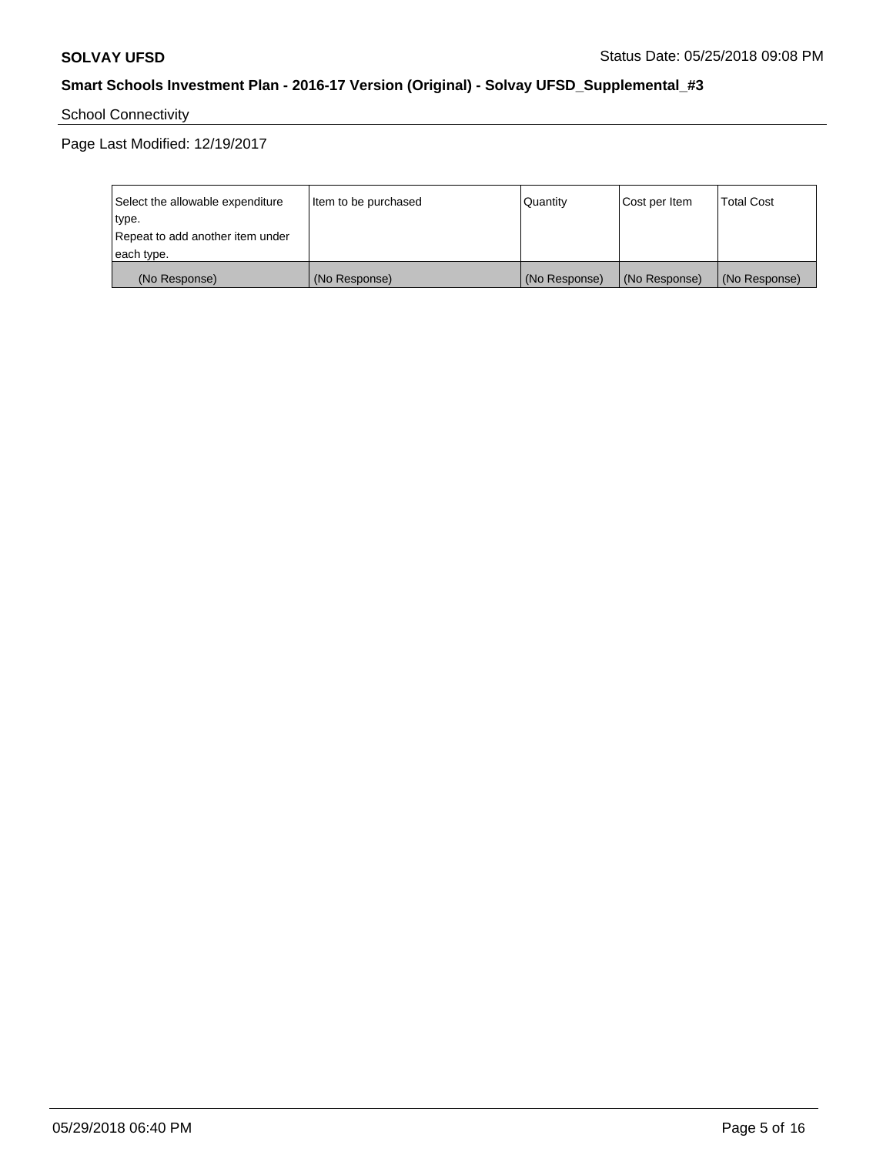School Connectivity

Page Last Modified: 12/19/2017

| Select the allowable expenditure | Item to be purchased | Quantity      | Cost per Item | <b>Total Cost</b> |
|----------------------------------|----------------------|---------------|---------------|-------------------|
| type.                            |                      |               |               |                   |
| Repeat to add another item under |                      |               |               |                   |
| each type.                       |                      |               |               |                   |
| (No Response)                    | (No Response)        | (No Response) | (No Response) | (No Response)     |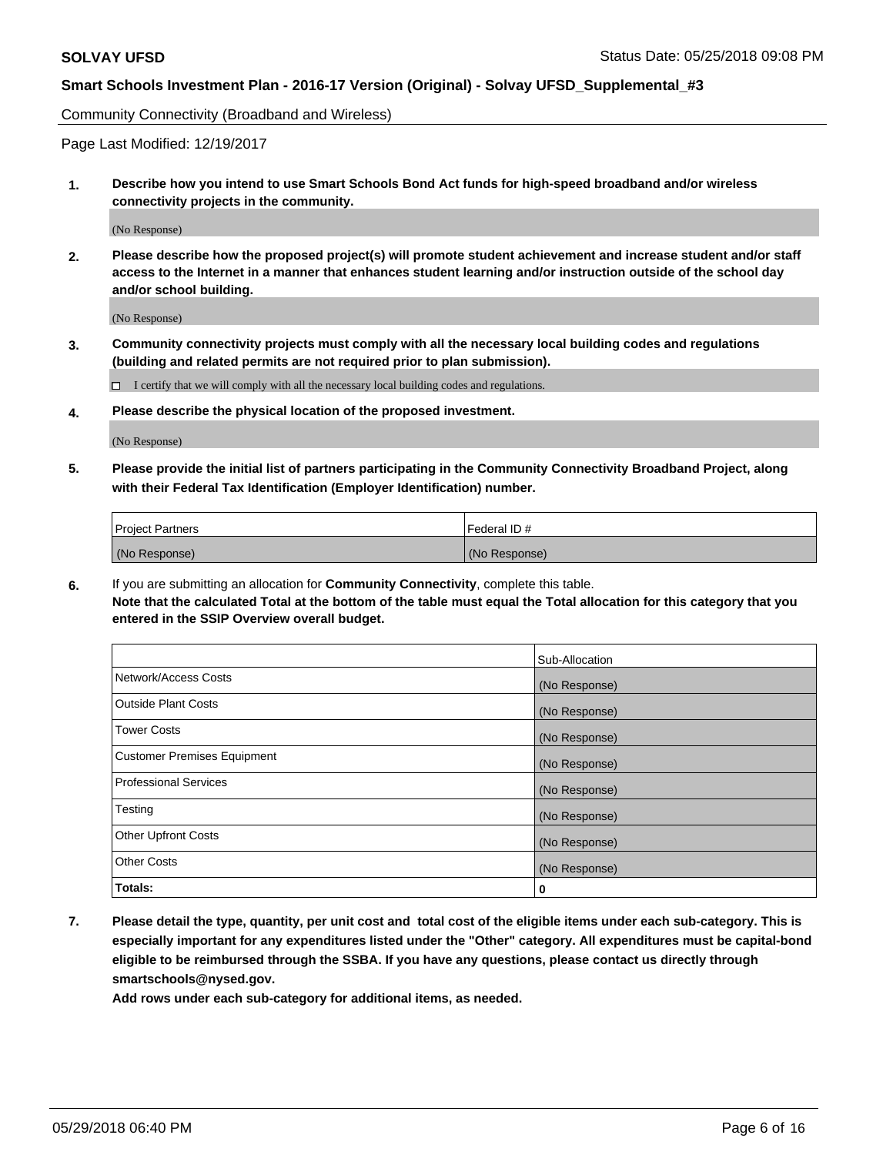Community Connectivity (Broadband and Wireless)

Page Last Modified: 12/19/2017

**1. Describe how you intend to use Smart Schools Bond Act funds for high-speed broadband and/or wireless connectivity projects in the community.**

(No Response)

**2. Please describe how the proposed project(s) will promote student achievement and increase student and/or staff access to the Internet in a manner that enhances student learning and/or instruction outside of the school day and/or school building.**

(No Response)

**3. Community connectivity projects must comply with all the necessary local building codes and regulations (building and related permits are not required prior to plan submission).**

 $\Box$  I certify that we will comply with all the necessary local building codes and regulations.

**4. Please describe the physical location of the proposed investment.**

(No Response)

**5. Please provide the initial list of partners participating in the Community Connectivity Broadband Project, along with their Federal Tax Identification (Employer Identification) number.**

| <b>Project Partners</b> | l Federal ID # |
|-------------------------|----------------|
| (No Response)           | (No Response)  |

**6.** If you are submitting an allocation for **Community Connectivity**, complete this table. **Note that the calculated Total at the bottom of the table must equal the Total allocation for this category that you entered in the SSIP Overview overall budget.**

|                                    | Sub-Allocation |
|------------------------------------|----------------|
| Network/Access Costs               | (No Response)  |
| Outside Plant Costs                | (No Response)  |
| <b>Tower Costs</b>                 | (No Response)  |
| <b>Customer Premises Equipment</b> | (No Response)  |
| Professional Services              | (No Response)  |
| Testing                            | (No Response)  |
| <b>Other Upfront Costs</b>         | (No Response)  |
| <b>Other Costs</b>                 | (No Response)  |
| Totals:                            | 0              |

**7. Please detail the type, quantity, per unit cost and total cost of the eligible items under each sub-category. This is especially important for any expenditures listed under the "Other" category. All expenditures must be capital-bond eligible to be reimbursed through the SSBA. If you have any questions, please contact us directly through smartschools@nysed.gov.**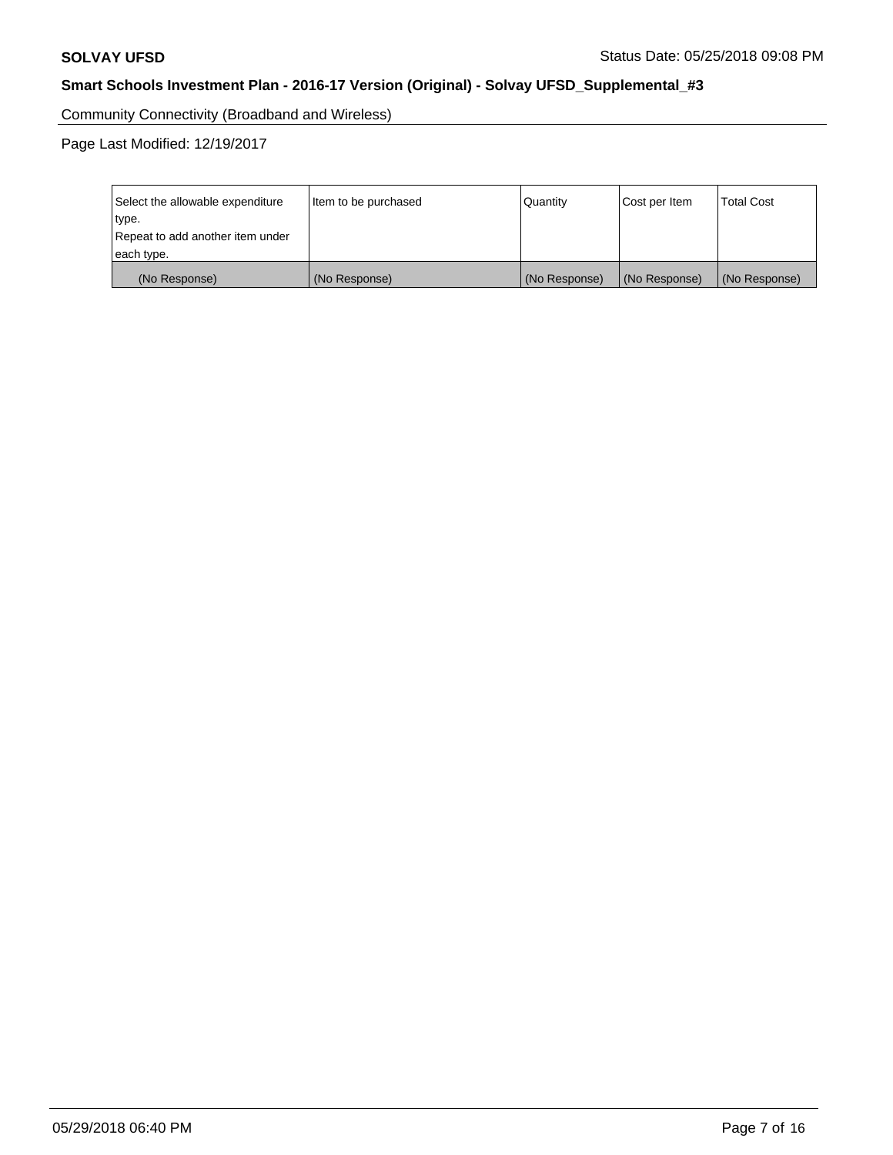Community Connectivity (Broadband and Wireless)

Page Last Modified: 12/19/2017

| Select the allowable expenditure<br>type.<br>Repeat to add another item under | Item to be purchased | Quantity      | Cost per Item | <b>Total Cost</b> |
|-------------------------------------------------------------------------------|----------------------|---------------|---------------|-------------------|
| each type.                                                                    |                      |               |               |                   |
| (No Response)                                                                 | (No Response)        | (No Response) | (No Response) | (No Response)     |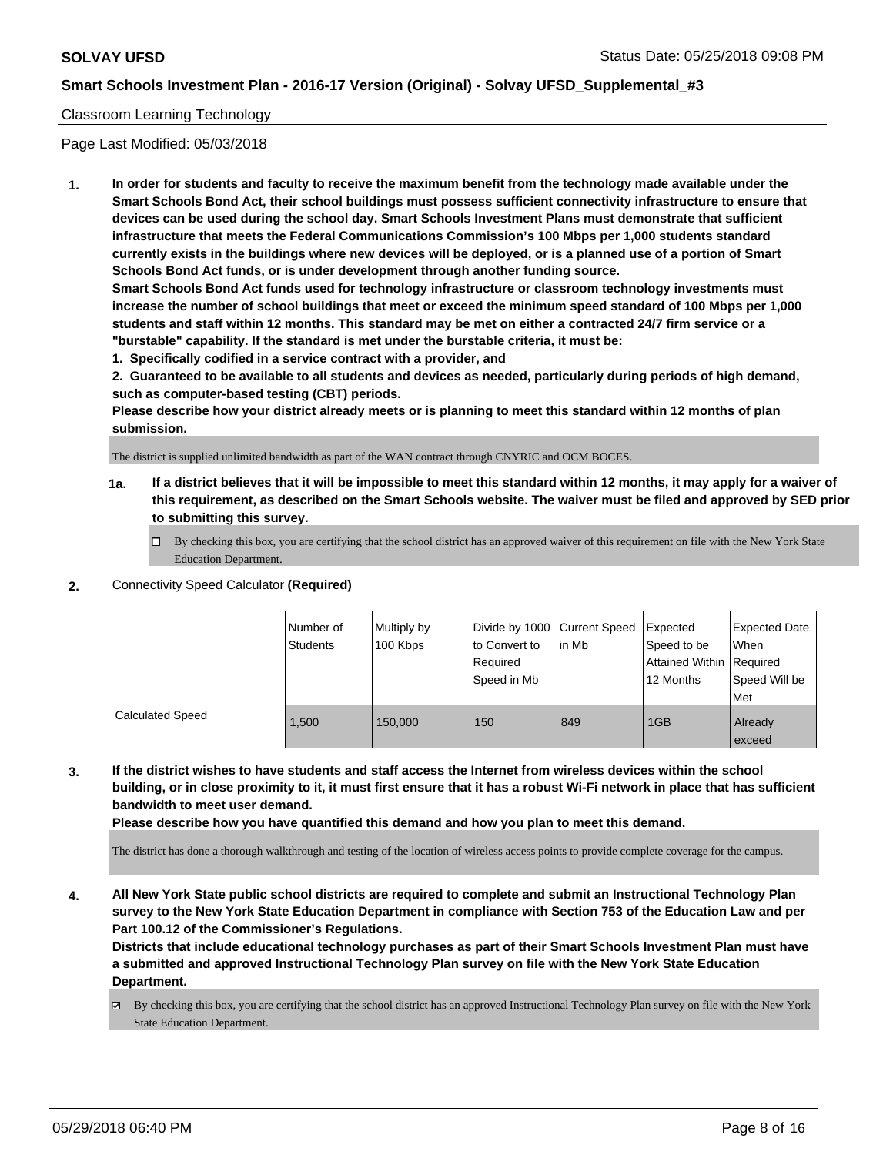#### Classroom Learning Technology

Page Last Modified: 05/03/2018

**1. In order for students and faculty to receive the maximum benefit from the technology made available under the Smart Schools Bond Act, their school buildings must possess sufficient connectivity infrastructure to ensure that devices can be used during the school day. Smart Schools Investment Plans must demonstrate that sufficient infrastructure that meets the Federal Communications Commission's 100 Mbps per 1,000 students standard currently exists in the buildings where new devices will be deployed, or is a planned use of a portion of Smart Schools Bond Act funds, or is under development through another funding source.**

**Smart Schools Bond Act funds used for technology infrastructure or classroom technology investments must increase the number of school buildings that meet or exceed the minimum speed standard of 100 Mbps per 1,000 students and staff within 12 months. This standard may be met on either a contracted 24/7 firm service or a "burstable" capability. If the standard is met under the burstable criteria, it must be:**

**1. Specifically codified in a service contract with a provider, and**

**2. Guaranteed to be available to all students and devices as needed, particularly during periods of high demand, such as computer-based testing (CBT) periods.**

**Please describe how your district already meets or is planning to meet this standard within 12 months of plan submission.**

The district is supplied unlimited bandwidth as part of the WAN contract through CNYRIC and OCM BOCES.

- **1a. If a district believes that it will be impossible to meet this standard within 12 months, it may apply for a waiver of this requirement, as described on the Smart Schools website. The waiver must be filed and approved by SED prior to submitting this survey.**
	- By checking this box, you are certifying that the school district has an approved waiver of this requirement on file with the New York State Education Department.
- **2.** Connectivity Speed Calculator **(Required)**

|                  | Number of<br>Students | Multiply by<br>100 Kbps | Divide by 1000 Current Speed<br>to Convert to<br>Required<br>Speed in Mb | in Mb | Expected<br>Speed to be<br>Attained Within   Required<br>12 Months | <b>Expected Date</b><br>When<br>Speed Will be<br>Met |
|------------------|-----------------------|-------------------------|--------------------------------------------------------------------------|-------|--------------------------------------------------------------------|------------------------------------------------------|
| Calculated Speed | 1.500                 | 150,000                 | 150                                                                      | 849   | 1GB                                                                | Already<br>exceed                                    |

**3. If the district wishes to have students and staff access the Internet from wireless devices within the school building, or in close proximity to it, it must first ensure that it has a robust Wi-Fi network in place that has sufficient bandwidth to meet user demand.**

**Please describe how you have quantified this demand and how you plan to meet this demand.**

The district has done a thorough walkthrough and testing of the location of wireless access points to provide complete coverage for the campus.

**4. All New York State public school districts are required to complete and submit an Instructional Technology Plan survey to the New York State Education Department in compliance with Section 753 of the Education Law and per Part 100.12 of the Commissioner's Regulations.**

**Districts that include educational technology purchases as part of their Smart Schools Investment Plan must have a submitted and approved Instructional Technology Plan survey on file with the New York State Education Department.**

By checking this box, you are certifying that the school district has an approved Instructional Technology Plan survey on file with the New York State Education Department.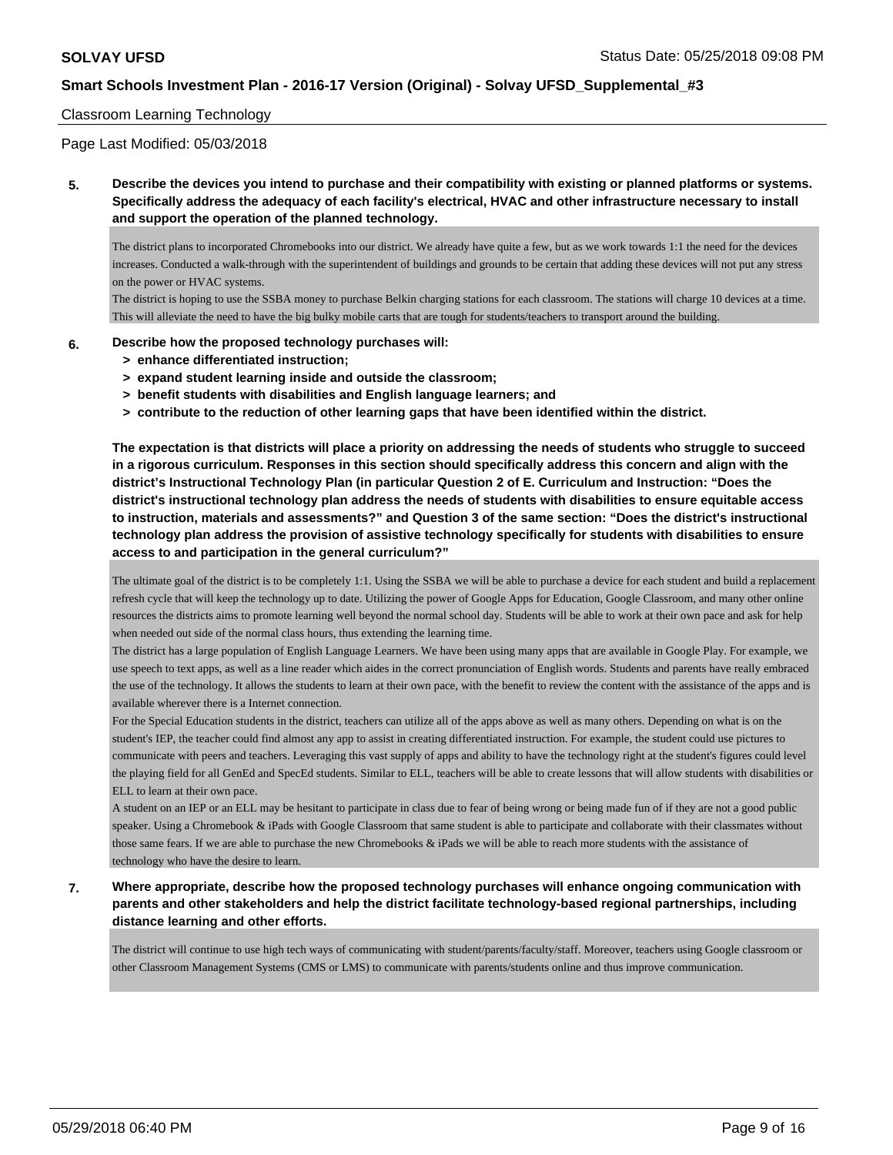#### Classroom Learning Technology

Page Last Modified: 05/03/2018

**5. Describe the devices you intend to purchase and their compatibility with existing or planned platforms or systems. Specifically address the adequacy of each facility's electrical, HVAC and other infrastructure necessary to install and support the operation of the planned technology.**

The district plans to incorporated Chromebooks into our district. We already have quite a few, but as we work towards 1:1 the need for the devices increases. Conducted a walk-through with the superintendent of buildings and grounds to be certain that adding these devices will not put any stress on the power or HVAC systems.

The district is hoping to use the SSBA money to purchase Belkin charging stations for each classroom. The stations will charge 10 devices at a time. This will alleviate the need to have the big bulky mobile carts that are tough for students/teachers to transport around the building.

- **6. Describe how the proposed technology purchases will:**
	- **> enhance differentiated instruction;**
	- **> expand student learning inside and outside the classroom;**
	- **> benefit students with disabilities and English language learners; and**
	- **> contribute to the reduction of other learning gaps that have been identified within the district.**

**The expectation is that districts will place a priority on addressing the needs of students who struggle to succeed in a rigorous curriculum. Responses in this section should specifically address this concern and align with the district's Instructional Technology Plan (in particular Question 2 of E. Curriculum and Instruction: "Does the district's instructional technology plan address the needs of students with disabilities to ensure equitable access to instruction, materials and assessments?" and Question 3 of the same section: "Does the district's instructional technology plan address the provision of assistive technology specifically for students with disabilities to ensure access to and participation in the general curriculum?"**

The ultimate goal of the district is to be completely 1:1. Using the SSBA we will be able to purchase a device for each student and build a replacement refresh cycle that will keep the technology up to date. Utilizing the power of Google Apps for Education, Google Classroom, and many other online resources the districts aims to promote learning well beyond the normal school day. Students will be able to work at their own pace and ask for help when needed out side of the normal class hours, thus extending the learning time.

The district has a large population of English Language Learners. We have been using many apps that are available in Google Play. For example, we use speech to text apps, as well as a line reader which aides in the correct pronunciation of English words. Students and parents have really embraced the use of the technology. It allows the students to learn at their own pace, with the benefit to review the content with the assistance of the apps and is available wherever there is a Internet connection.

For the Special Education students in the district, teachers can utilize all of the apps above as well as many others. Depending on what is on the student's IEP, the teacher could find almost any app to assist in creating differentiated instruction. For example, the student could use pictures to communicate with peers and teachers. Leveraging this vast supply of apps and ability to have the technology right at the student's figures could level the playing field for all GenEd and SpecEd students. Similar to ELL, teachers will be able to create lessons that will allow students with disabilities or ELL to learn at their own pace.

A student on an IEP or an ELL may be hesitant to participate in class due to fear of being wrong or being made fun of if they are not a good public speaker. Using a Chromebook & iPads with Google Classroom that same student is able to participate and collaborate with their classmates without those same fears. If we are able to purchase the new Chromebooks & iPads we will be able to reach more students with the assistance of technology who have the desire to learn.

**7. Where appropriate, describe how the proposed technology purchases will enhance ongoing communication with parents and other stakeholders and help the district facilitate technology-based regional partnerships, including distance learning and other efforts.**

The district will continue to use high tech ways of communicating with student/parents/faculty/staff. Moreover, teachers using Google classroom or other Classroom Management Systems (CMS or LMS) to communicate with parents/students online and thus improve communication.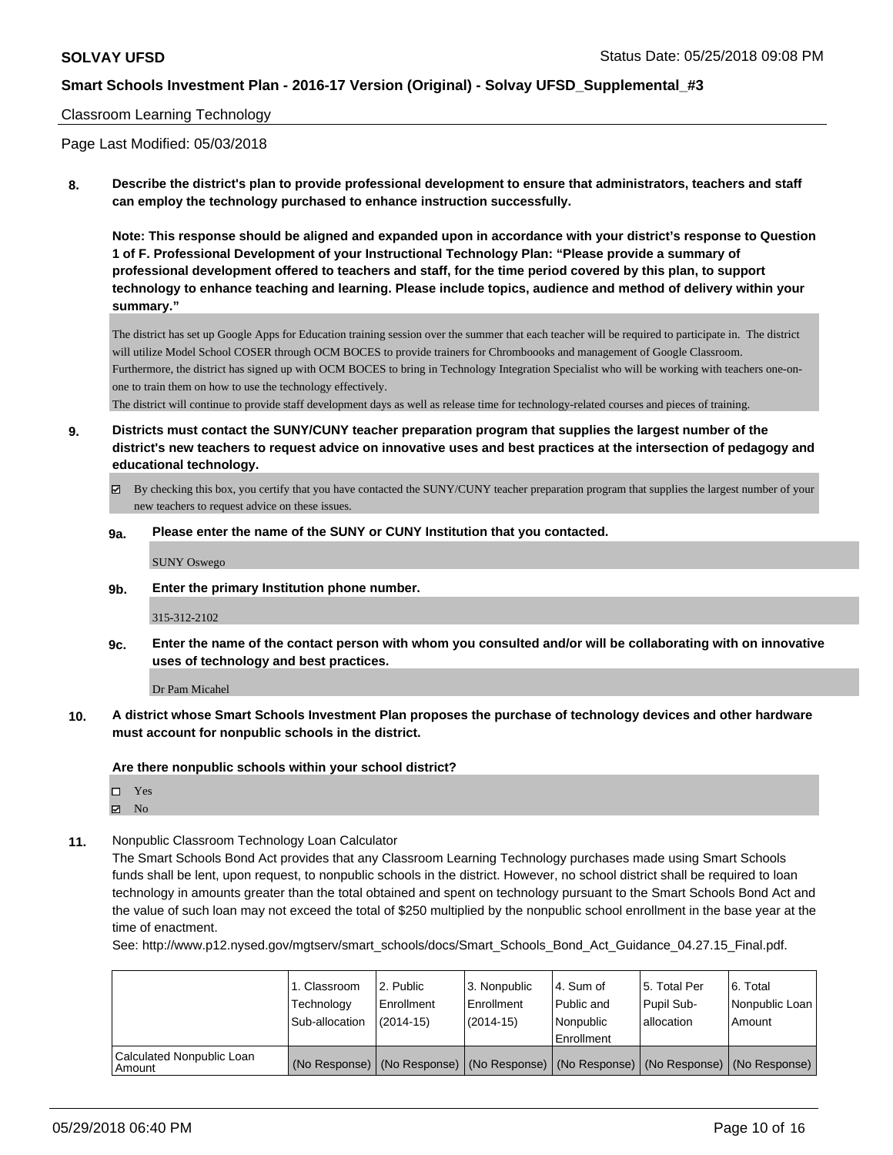#### Classroom Learning Technology

Page Last Modified: 05/03/2018

**8. Describe the district's plan to provide professional development to ensure that administrators, teachers and staff can employ the technology purchased to enhance instruction successfully.**

**Note: This response should be aligned and expanded upon in accordance with your district's response to Question 1 of F. Professional Development of your Instructional Technology Plan: "Please provide a summary of professional development offered to teachers and staff, for the time period covered by this plan, to support technology to enhance teaching and learning. Please include topics, audience and method of delivery within your summary."**

The district has set up Google Apps for Education training session over the summer that each teacher will be required to participate in. The district will utilize Model School COSER through OCM BOCES to provide trainers for Chromboooks and management of Google Classroom. Furthermore, the district has signed up with OCM BOCES to bring in Technology Integration Specialist who will be working with teachers one-onone to train them on how to use the technology effectively.

The district will continue to provide staff development days as well as release time for technology-related courses and pieces of training.

**9. Districts must contact the SUNY/CUNY teacher preparation program that supplies the largest number of the district's new teachers to request advice on innovative uses and best practices at the intersection of pedagogy and educational technology.**

- By checking this box, you certify that you have contacted the SUNY/CUNY teacher preparation program that supplies the largest number of your new teachers to request advice on these issues.
- **9a. Please enter the name of the SUNY or CUNY Institution that you contacted.**

SUNY Oswego

**9b. Enter the primary Institution phone number.**

315-312-2102

**9c. Enter the name of the contact person with whom you consulted and/or will be collaborating with on innovative uses of technology and best practices.**

Dr Pam Micahel

**10. A district whose Smart Schools Investment Plan proposes the purchase of technology devices and other hardware must account for nonpublic schools in the district.**

**Are there nonpublic schools within your school district?**

Yes

- $\boxtimes$  No
- **11.** Nonpublic Classroom Technology Loan Calculator

The Smart Schools Bond Act provides that any Classroom Learning Technology purchases made using Smart Schools funds shall be lent, upon request, to nonpublic schools in the district. However, no school district shall be required to loan technology in amounts greater than the total obtained and spent on technology pursuant to the Smart Schools Bond Act and the value of such loan may not exceed the total of \$250 multiplied by the nonpublic school enrollment in the base year at the time of enactment.

See: http://www.p12.nysed.gov/mgtserv/smart\_schools/docs/Smart\_Schools\_Bond\_Act\_Guidance\_04.27.15\_Final.pdf.

|                                       | 1. Classroom<br>Technology<br>Sub-allocation | 2. Public<br>l Enrollment<br>$(2014 - 15)$                                                    | l 3. Nonpublic<br>Enrollment<br>$(2014 - 15)$ | l 4. Sum of<br>Public and<br>Nonpublic<br>Enrollment | 15. Total Per<br>Pupil Sub-<br>allocation | l 6. Total<br>Nonpublic Loan<br>l Amount |
|---------------------------------------|----------------------------------------------|-----------------------------------------------------------------------------------------------|-----------------------------------------------|------------------------------------------------------|-------------------------------------------|------------------------------------------|
| Calculated Nonpublic Loan<br>l Amount |                                              | (No Response)   (No Response)   (No Response)   (No Response)   (No Response)   (No Response) |                                               |                                                      |                                           |                                          |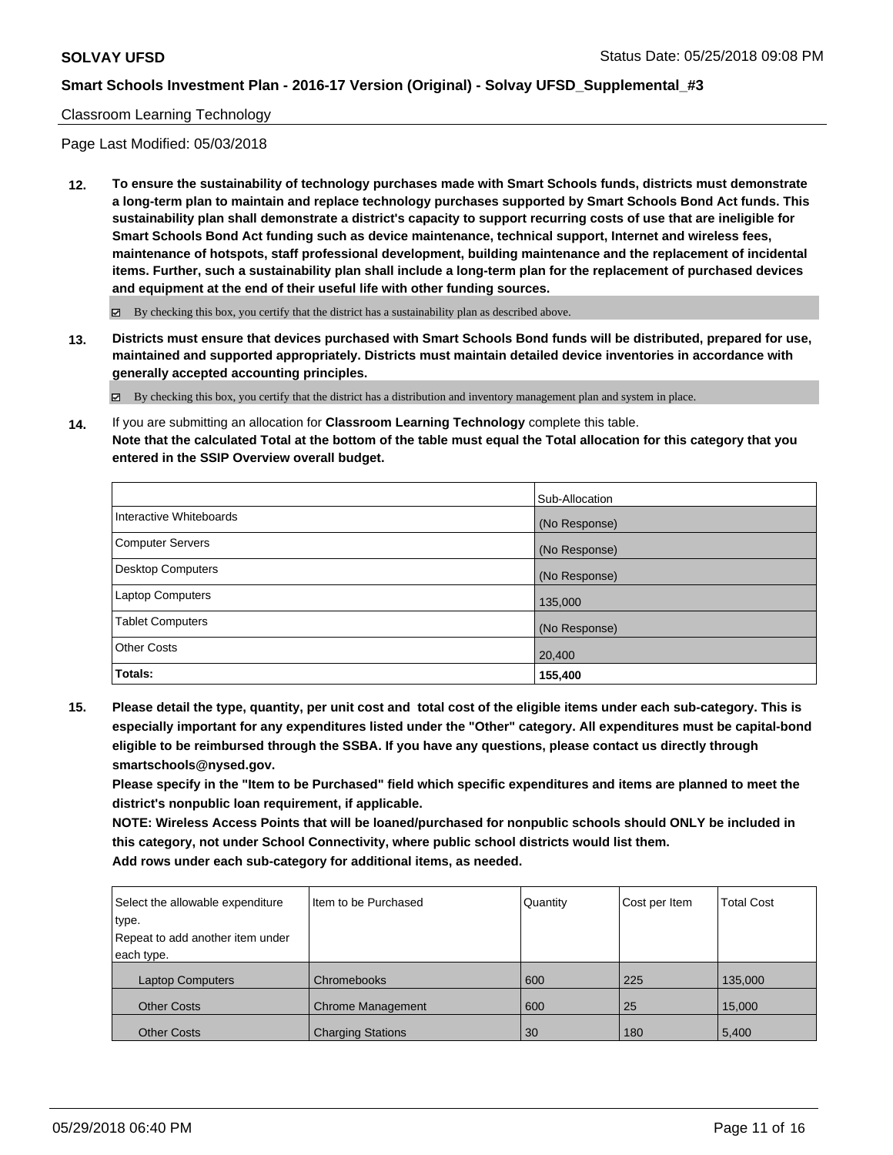### Classroom Learning Technology

Page Last Modified: 05/03/2018

**12. To ensure the sustainability of technology purchases made with Smart Schools funds, districts must demonstrate a long-term plan to maintain and replace technology purchases supported by Smart Schools Bond Act funds. This sustainability plan shall demonstrate a district's capacity to support recurring costs of use that are ineligible for Smart Schools Bond Act funding such as device maintenance, technical support, Internet and wireless fees, maintenance of hotspots, staff professional development, building maintenance and the replacement of incidental items. Further, such a sustainability plan shall include a long-term plan for the replacement of purchased devices and equipment at the end of their useful life with other funding sources.**

 $\boxtimes$  By checking this box, you certify that the district has a sustainability plan as described above.

**13. Districts must ensure that devices purchased with Smart Schools Bond funds will be distributed, prepared for use, maintained and supported appropriately. Districts must maintain detailed device inventories in accordance with generally accepted accounting principles.**

By checking this box, you certify that the district has a distribution and inventory management plan and system in place.

**14.** If you are submitting an allocation for **Classroom Learning Technology** complete this table. **Note that the calculated Total at the bottom of the table must equal the Total allocation for this category that you entered in the SSIP Overview overall budget.**

|                          | Sub-Allocation |
|--------------------------|----------------|
| Interactive Whiteboards  | (No Response)  |
| Computer Servers         | (No Response)  |
| <b>Desktop Computers</b> | (No Response)  |
| Laptop Computers         | 135,000        |
| <b>Tablet Computers</b>  | (No Response)  |
| <b>Other Costs</b>       | 20,400         |
| Totals:                  | 155,400        |

**15. Please detail the type, quantity, per unit cost and total cost of the eligible items under each sub-category. This is especially important for any expenditures listed under the "Other" category. All expenditures must be capital-bond eligible to be reimbursed through the SSBA. If you have any questions, please contact us directly through smartschools@nysed.gov.**

**Please specify in the "Item to be Purchased" field which specific expenditures and items are planned to meet the district's nonpublic loan requirement, if applicable.**

**NOTE: Wireless Access Points that will be loaned/purchased for nonpublic schools should ONLY be included in this category, not under School Connectivity, where public school districts would list them. Add rows under each sub-category for additional items, as needed.**

| Select the allowable expenditure | I Item to be Purchased   | Quantity | Cost per Item | <b>Total Cost</b> |
|----------------------------------|--------------------------|----------|---------------|-------------------|
| type.                            |                          |          |               |                   |
| Repeat to add another item under |                          |          |               |                   |
| each type.                       |                          |          |               |                   |
| <b>Laptop Computers</b>          | Chromebooks              | 600      | 225           | 135,000           |
| <b>Other Costs</b>               | <b>Chrome Management</b> | 600      | 25            | 15,000            |
| <b>Other Costs</b>               | <b>Charging Stations</b> | 30       | 180           | 5,400             |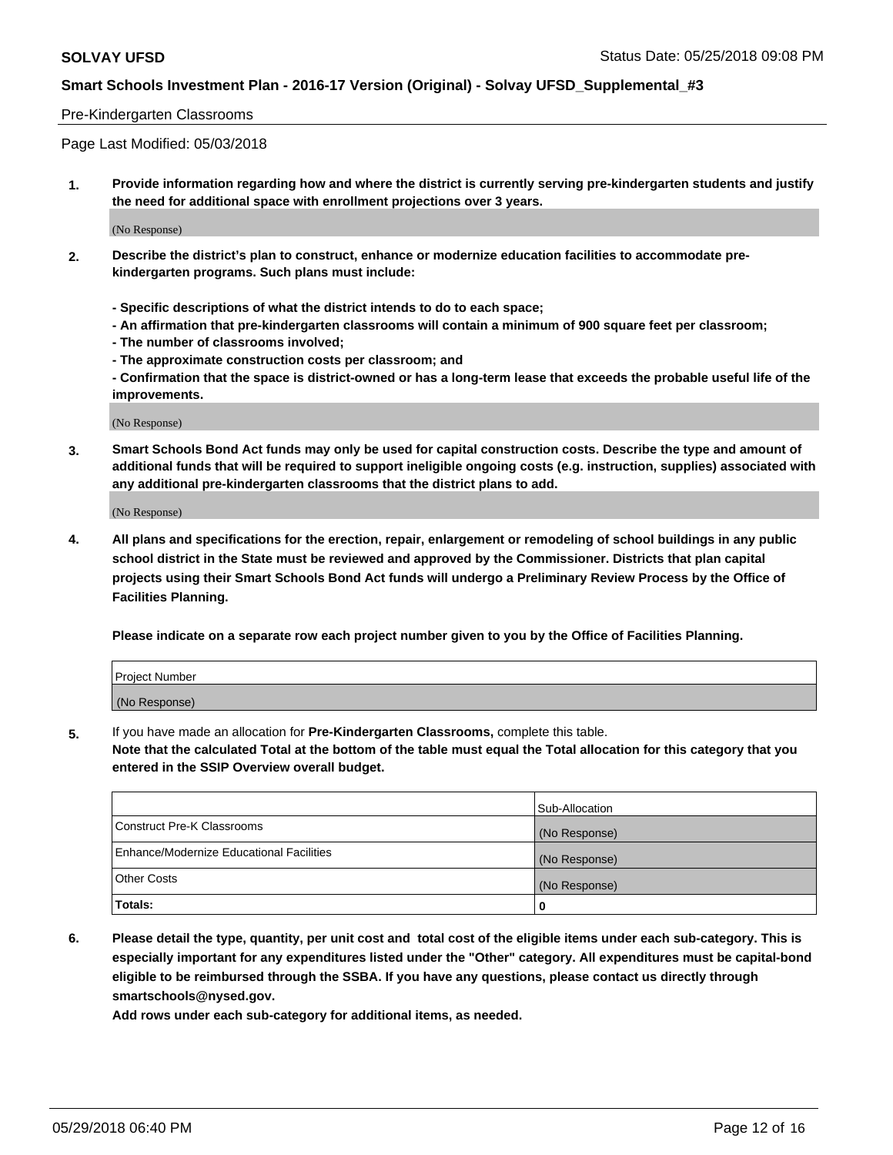#### Pre-Kindergarten Classrooms

Page Last Modified: 05/03/2018

**1. Provide information regarding how and where the district is currently serving pre-kindergarten students and justify the need for additional space with enrollment projections over 3 years.**

(No Response)

- **2. Describe the district's plan to construct, enhance or modernize education facilities to accommodate prekindergarten programs. Such plans must include:**
	- **Specific descriptions of what the district intends to do to each space;**
	- **An affirmation that pre-kindergarten classrooms will contain a minimum of 900 square feet per classroom;**
	- **The number of classrooms involved;**
	- **The approximate construction costs per classroom; and**
	- **Confirmation that the space is district-owned or has a long-term lease that exceeds the probable useful life of the improvements.**

(No Response)

**3. Smart Schools Bond Act funds may only be used for capital construction costs. Describe the type and amount of additional funds that will be required to support ineligible ongoing costs (e.g. instruction, supplies) associated with any additional pre-kindergarten classrooms that the district plans to add.**

(No Response)

**4. All plans and specifications for the erection, repair, enlargement or remodeling of school buildings in any public school district in the State must be reviewed and approved by the Commissioner. Districts that plan capital projects using their Smart Schools Bond Act funds will undergo a Preliminary Review Process by the Office of Facilities Planning.**

**Please indicate on a separate row each project number given to you by the Office of Facilities Planning.**

| Project Number |  |
|----------------|--|
| (No Response)  |  |

**5.** If you have made an allocation for **Pre-Kindergarten Classrooms,** complete this table.

**Note that the calculated Total at the bottom of the table must equal the Total allocation for this category that you entered in the SSIP Overview overall budget.**

|                                          | Sub-Allocation |
|------------------------------------------|----------------|
| Construct Pre-K Classrooms               | (No Response)  |
| Enhance/Modernize Educational Facilities | (No Response)  |
| Other Costs                              | (No Response)  |
| Totals:                                  | 0              |

**6. Please detail the type, quantity, per unit cost and total cost of the eligible items under each sub-category. This is especially important for any expenditures listed under the "Other" category. All expenditures must be capital-bond eligible to be reimbursed through the SSBA. If you have any questions, please contact us directly through smartschools@nysed.gov.**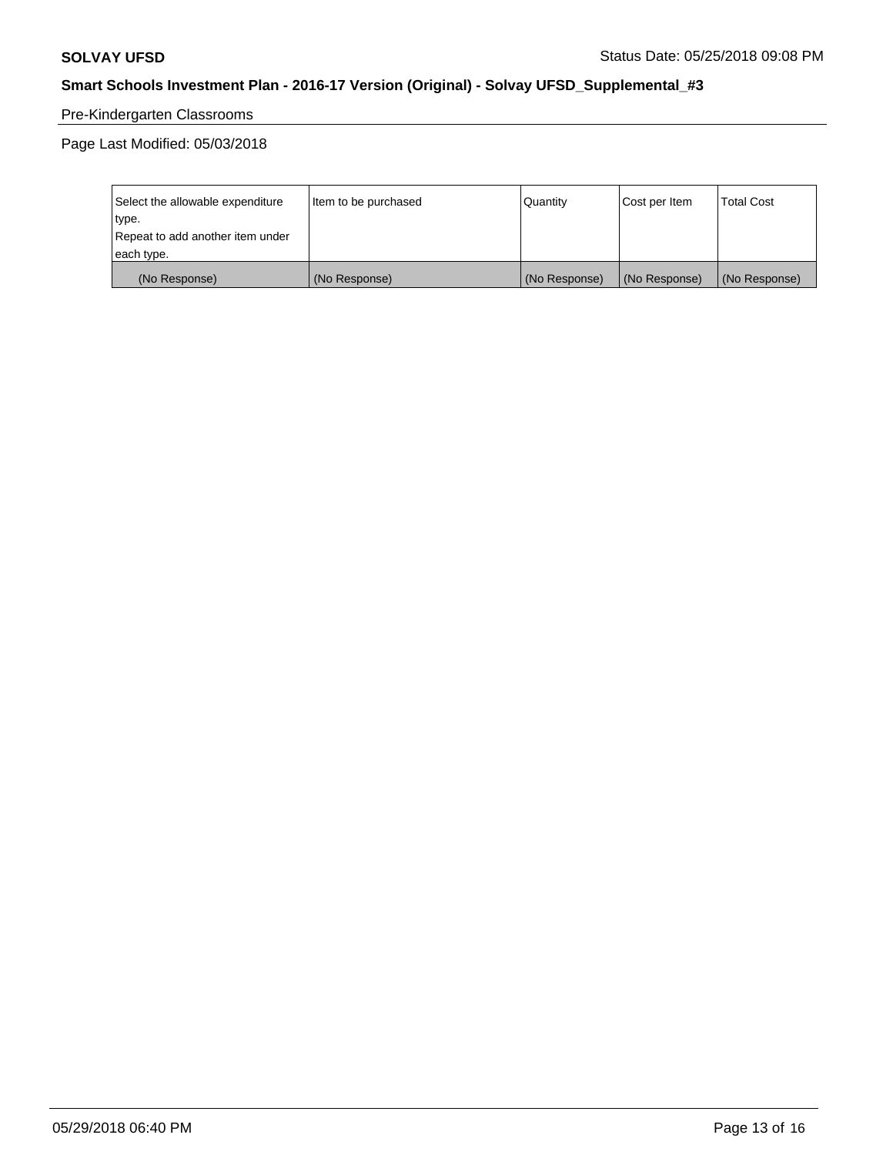# Pre-Kindergarten Classrooms

Page Last Modified: 05/03/2018

| Select the allowable expenditure | Item to be purchased | Quantity      | Cost per Item | <b>Total Cost</b> |
|----------------------------------|----------------------|---------------|---------------|-------------------|
| type.                            |                      |               |               |                   |
| Repeat to add another item under |                      |               |               |                   |
| each type.                       |                      |               |               |                   |
| (No Response)                    | (No Response)        | (No Response) | (No Response) | (No Response)     |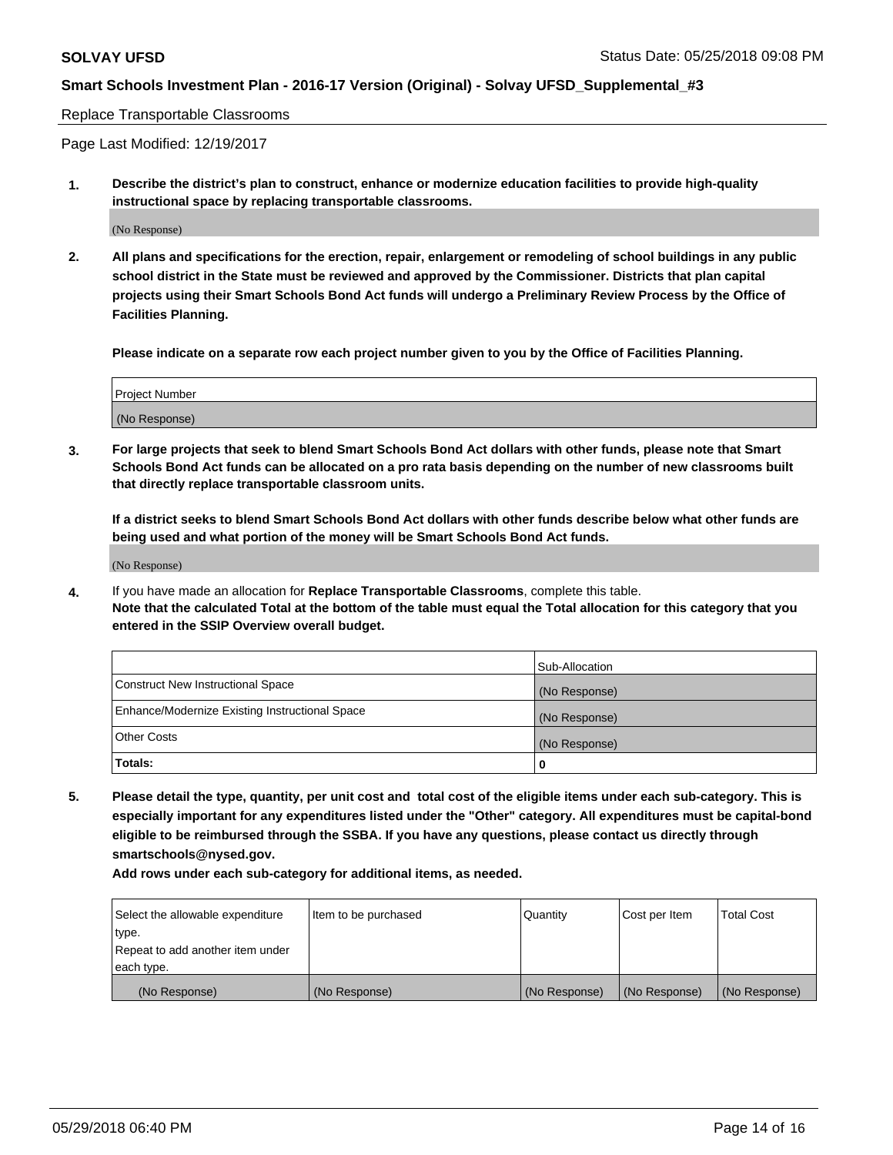#### Replace Transportable Classrooms

Page Last Modified: 12/19/2017

**1. Describe the district's plan to construct, enhance or modernize education facilities to provide high-quality instructional space by replacing transportable classrooms.**

(No Response)

**2. All plans and specifications for the erection, repair, enlargement or remodeling of school buildings in any public school district in the State must be reviewed and approved by the Commissioner. Districts that plan capital projects using their Smart Schools Bond Act funds will undergo a Preliminary Review Process by the Office of Facilities Planning.**

**Please indicate on a separate row each project number given to you by the Office of Facilities Planning.**

| <b>Project Number</b> |  |
|-----------------------|--|
| (No Response)         |  |
|                       |  |

**3. For large projects that seek to blend Smart Schools Bond Act dollars with other funds, please note that Smart Schools Bond Act funds can be allocated on a pro rata basis depending on the number of new classrooms built that directly replace transportable classroom units.**

**If a district seeks to blend Smart Schools Bond Act dollars with other funds describe below what other funds are being used and what portion of the money will be Smart Schools Bond Act funds.**

(No Response)

**4.** If you have made an allocation for **Replace Transportable Classrooms**, complete this table. **Note that the calculated Total at the bottom of the table must equal the Total allocation for this category that you entered in the SSIP Overview overall budget.**

|                                                | Sub-Allocation |
|------------------------------------------------|----------------|
| Construct New Instructional Space              | (No Response)  |
| Enhance/Modernize Existing Instructional Space | (No Response)  |
| Other Costs                                    | (No Response)  |
| Totals:                                        | 0              |

**5. Please detail the type, quantity, per unit cost and total cost of the eligible items under each sub-category. This is especially important for any expenditures listed under the "Other" category. All expenditures must be capital-bond eligible to be reimbursed through the SSBA. If you have any questions, please contact us directly through smartschools@nysed.gov.**

| Select the allowable expenditure | Item to be purchased | Quantity      | Cost per Item | <b>Total Cost</b> |
|----------------------------------|----------------------|---------------|---------------|-------------------|
| type.                            |                      |               |               |                   |
| Repeat to add another item under |                      |               |               |                   |
| each type.                       |                      |               |               |                   |
| (No Response)                    | (No Response)        | (No Response) | (No Response) | (No Response)     |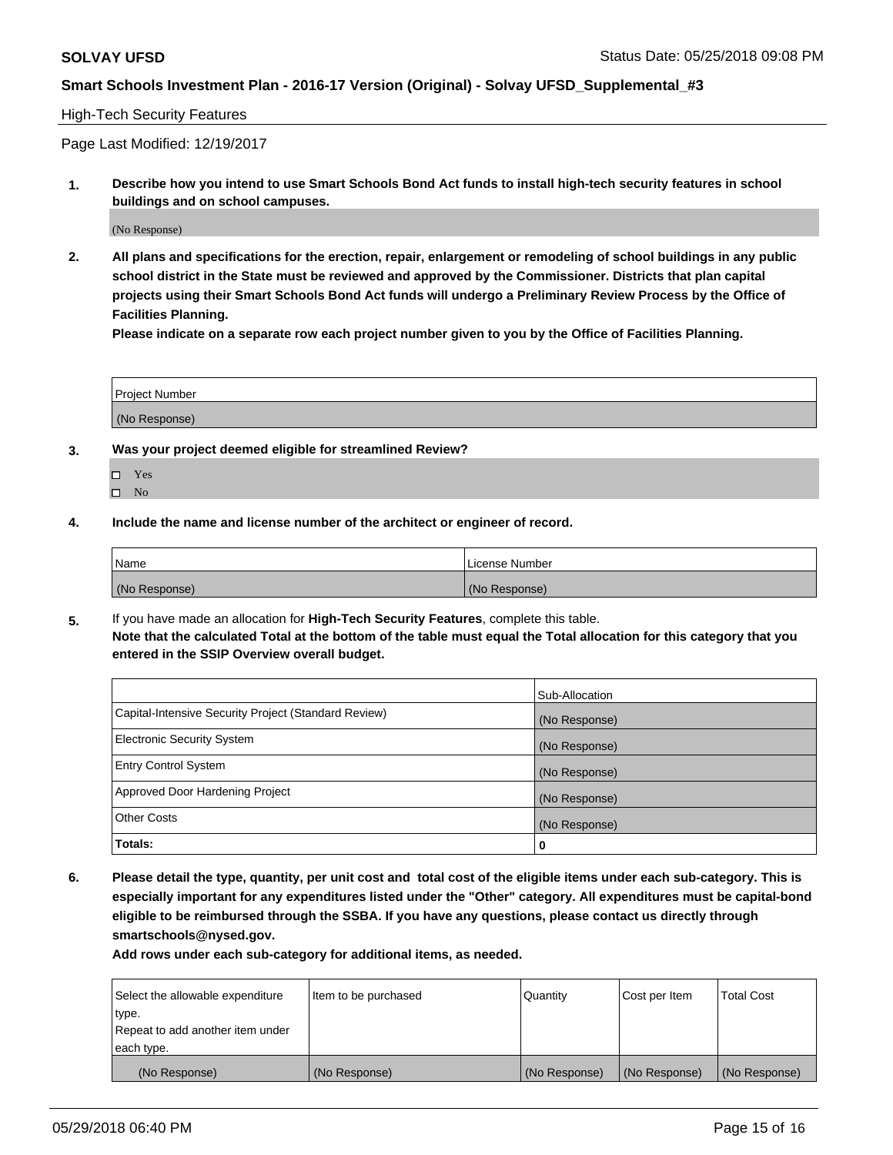### High-Tech Security Features

Page Last Modified: 12/19/2017

**1. Describe how you intend to use Smart Schools Bond Act funds to install high-tech security features in school buildings and on school campuses.**

(No Response)

**2. All plans and specifications for the erection, repair, enlargement or remodeling of school buildings in any public school district in the State must be reviewed and approved by the Commissioner. Districts that plan capital projects using their Smart Schools Bond Act funds will undergo a Preliminary Review Process by the Office of Facilities Planning.** 

**Please indicate on a separate row each project number given to you by the Office of Facilities Planning.**

| <b>Project Number</b> |  |  |
|-----------------------|--|--|
|                       |  |  |
| (No Response)         |  |  |

- **3. Was your project deemed eligible for streamlined Review?**
	- Yes  $\square$  No
- **4. Include the name and license number of the architect or engineer of record.**

| l Name        | License Number |
|---------------|----------------|
| (No Response) | (No Response)  |

**5.** If you have made an allocation for **High-Tech Security Features**, complete this table. **Note that the calculated Total at the bottom of the table must equal the Total allocation for this category that you entered in the SSIP Overview overall budget.**

|                                                      | Sub-Allocation |
|------------------------------------------------------|----------------|
| Capital-Intensive Security Project (Standard Review) | (No Response)  |
| <b>Electronic Security System</b>                    | (No Response)  |
| <b>Entry Control System</b>                          | (No Response)  |
| Approved Door Hardening Project                      | (No Response)  |
| <b>Other Costs</b>                                   | (No Response)  |
| Totals:                                              | 0              |

**6. Please detail the type, quantity, per unit cost and total cost of the eligible items under each sub-category. This is especially important for any expenditures listed under the "Other" category. All expenditures must be capital-bond eligible to be reimbursed through the SSBA. If you have any questions, please contact us directly through smartschools@nysed.gov.**

| Select the allowable expenditure | Item to be purchased | Quantity      | Cost per Item | <b>Total Cost</b> |
|----------------------------------|----------------------|---------------|---------------|-------------------|
| type.                            |                      |               |               |                   |
| Repeat to add another item under |                      |               |               |                   |
| each type.                       |                      |               |               |                   |
| (No Response)                    | (No Response)        | (No Response) | (No Response) | (No Response)     |